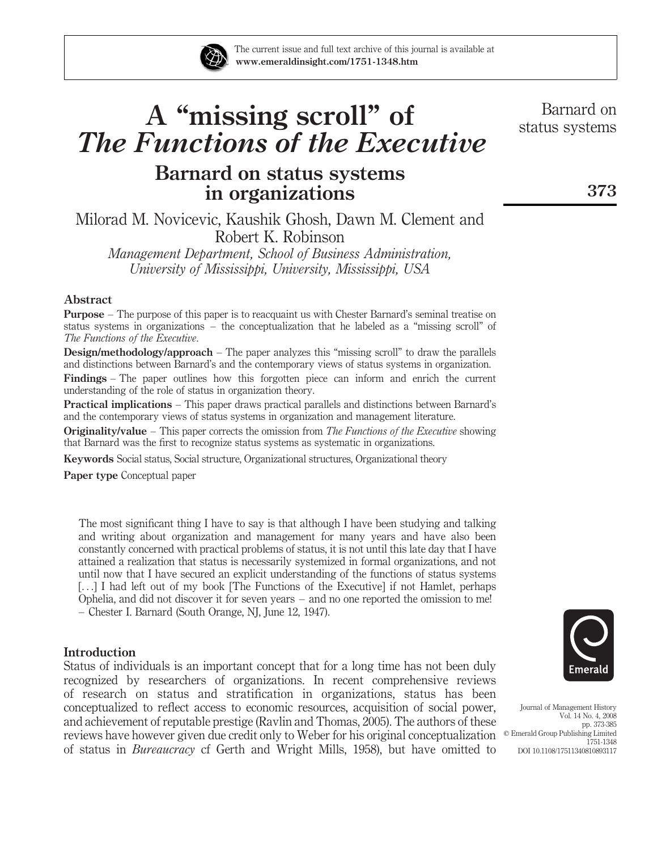

# A "missing scroll" of The Functions of the Executive

# Barnard on status systems in organizations

Milorad M. Novicevic, Kaushik Ghosh, Dawn M. Clement and Robert K. Robinson

Management Department, School of Business Administration, University of Mississippi, University, Mississippi, USA

# Abstract

Purpose – The purpose of this paper is to reacquaint us with Chester Barnard's seminal treatise on status systems in organizations – the conceptualization that he labeled as a "missing scroll" of The Functions of the Executive.

**Design/methodology/approach** – The paper analyzes this "missing scroll" to draw the parallels and distinctions between Barnard's and the contemporary views of status systems in organization.

Findings – The paper outlines how this forgotten piece can inform and enrich the current understanding of the role of status in organization theory.

Practical implications – This paper draws practical parallels and distinctions between Barnard's and the contemporary views of status systems in organization and management literature.

**Originality/value** – This paper corrects the omission from The Functions of the Executive showing that Barnard was the first to recognize status systems as systematic in organizations.

Keywords Social status, Social structure, Organizational structures, Organizational theory

Paper type Conceptual paper

The most significant thing I have to say is that although I have been studying and talking and writing about organization and management for many years and have also been constantly concerned with practical problems of status, it is not until this late day that I have attained a realization that status is necessarily systemized in formal organizations, and not until now that I have secured an explicit understanding of the functions of status systems [...] I had left out of my book [The Functions of the Executive] if not Hamlet, perhaps Ophelia, and did not discover it for seven years – and no one reported the omission to me! – Chester I. Barnard (South Orange, NJ, June 12, 1947).

# **Introduction**

Status of individuals is an important concept that for a long time has not been duly recognized by researchers of organizations. In recent comprehensive reviews of research on status and stratification in organizations, status has been conceptualized to reflect access to economic resources, acquisition of social power, and achievement of reputable prestige (Ravlin and Thomas, 2005). The authors of these reviews have however given due credit only to Weber for his original conceptualization  $\circ$  Emerald Group Publishing Limited of status in Bureaucracy cf Gerth and Wright Mills, 1958), but have omitted to



Journal of Management History Vol. 14 No. 4, 2008 pp. 373-385 1751-1348 DOI 10.1108/17511340810893117

Barnard on status systems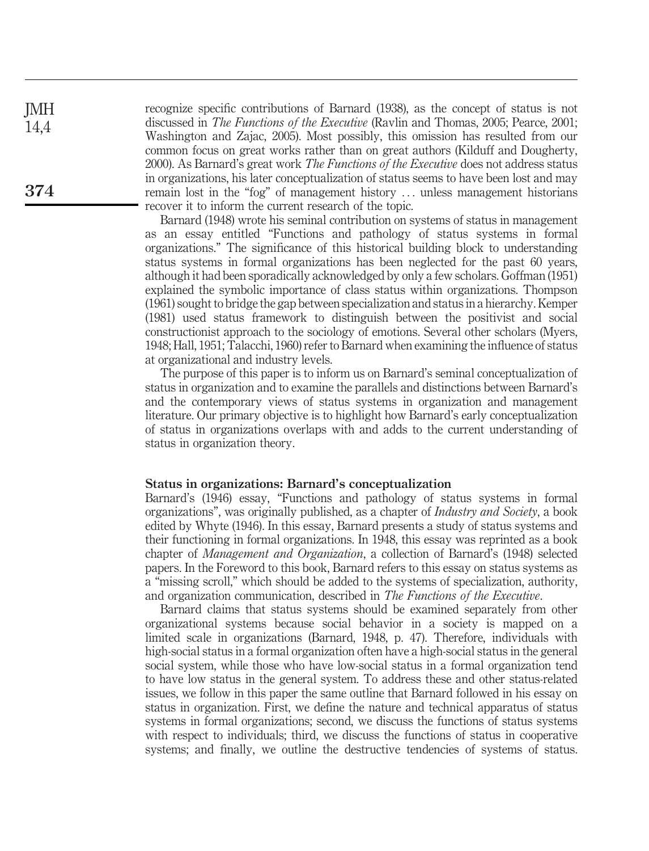recognize specific contributions of Barnard (1938), as the concept of status is not discussed in The Functions of the Executive (Ravlin and Thomas, 2005; Pearce, 2001; Washington and Zajac, 2005). Most possibly, this omission has resulted from our common focus on great works rather than on great authors (Kilduff and Dougherty, 2000). As Barnard's great work *The Functions of the Executive* does not address status in organizations, his later conceptualization of status seems to have been lost and may remain lost in the "fog" of management history ... unless management historians recover it to inform the current research of the topic.

Barnard (1948) wrote his seminal contribution on systems of status in management as an essay entitled "Functions and pathology of status systems in formal organizations." The significance of this historical building block to understanding status systems in formal organizations has been neglected for the past 60 years, although it had been sporadically acknowledged by only a few scholars. Goffman (1951) explained the symbolic importance of class status within organizations. Thompson (1961) sought to bridge the gap between specialization and status in a hierarchy. Kemper (1981) used status framework to distinguish between the positivist and social constructionist approach to the sociology of emotions. Several other scholars (Myers, 1948; Hall, 1951; Talacchi, 1960) refer to Barnard when examining the influence of status at organizational and industry levels.

The purpose of this paper is to inform us on Barnard's seminal conceptualization of status in organization and to examine the parallels and distinctions between Barnard's and the contemporary views of status systems in organization and management literature. Our primary objective is to highlight how Barnard's early conceptualization of status in organizations overlaps with and adds to the current understanding of status in organization theory.

#### Status in organizations: Barnard's conceptualization

Barnard's (1946) essay, "Functions and pathology of status systems in formal organizations", was originally published, as a chapter of Industry and Society, a book edited by Whyte (1946). In this essay, Barnard presents a study of status systems and their functioning in formal organizations. In 1948, this essay was reprinted as a book chapter of Management and Organization, a collection of Barnard's (1948) selected papers. In the Foreword to this book, Barnard refers to this essay on status systems as a "missing scroll," which should be added to the systems of specialization, authority, and organization communication, described in The Functions of the Executive.

Barnard claims that status systems should be examined separately from other organizational systems because social behavior in a society is mapped on a limited scale in organizations (Barnard, 1948, p. 47). Therefore, individuals with high-social status in a formal organization often have a high-social status in the general social system, while those who have low-social status in a formal organization tend to have low status in the general system. To address these and other status-related issues, we follow in this paper the same outline that Barnard followed in his essay on status in organization. First, we define the nature and technical apparatus of status systems in formal organizations; second, we discuss the functions of status systems with respect to individuals; third, we discuss the functions of status in cooperative systems; and finally, we outline the destructive tendencies of systems of status.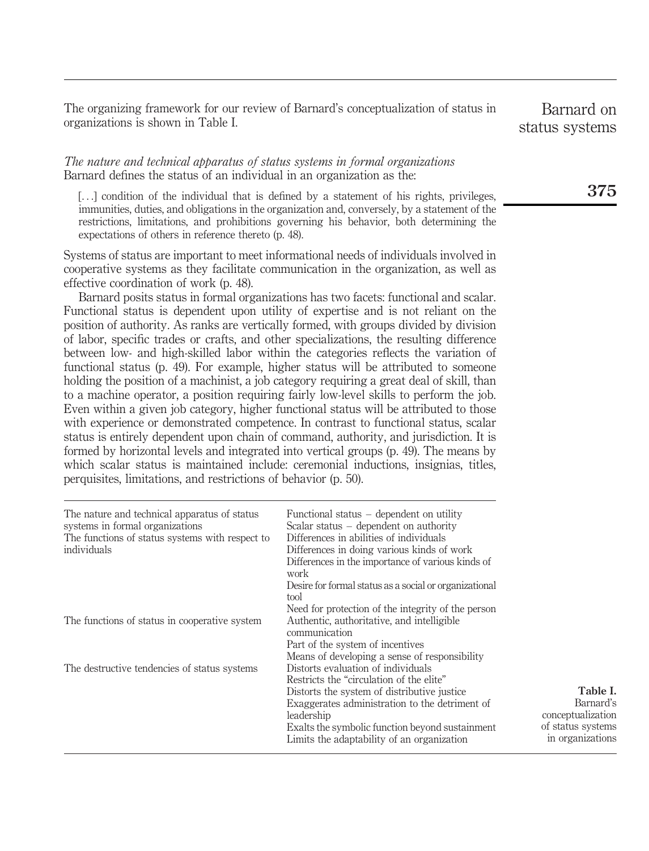The organizing framework for our review of Barnard's conceptualization of status in organizations is shown in Table I.

# The nature and technical apparatus of status systems in formal organizations Barnard defines the status of an individual in an organization as the:

[...] condition of the individual that is defined by a statement of his rights, privileges, immunities, duties, and obligations in the organization and, conversely, by a statement of the restrictions, limitations, and prohibitions governing his behavior, both determining the expectations of others in reference thereto (p. 48).

Systems of status are important to meet informational needs of individuals involved in cooperative systems as they facilitate communication in the organization, as well as effective coordination of work (p. 48).

Barnard posits status in formal organizations has two facets: functional and scalar. Functional status is dependent upon utility of expertise and is not reliant on the position of authority. As ranks are vertically formed, with groups divided by division of labor, specific trades or crafts, and other specializations, the resulting difference between low- and high-skilled labor within the categories reflects the variation of functional status (p. 49). For example, higher status will be attributed to someone holding the position of a machinist, a job category requiring a great deal of skill, than to a machine operator, a position requiring fairly low-level skills to perform the job. Even within a given job category, higher functional status will be attributed to those with experience or demonstrated competence. In contrast to functional status, scalar status is entirely dependent upon chain of command, authority, and jurisdiction. It is formed by horizontal levels and integrated into vertical groups (p. 49). The means by which scalar status is maintained include: ceremonial inductions, insignias, titles, perquisites, limitations, and restrictions of behavior (p. 50).

| The nature and technical apparatus of status<br>systems in formal organizations<br>The functions of status systems with respect to<br>individuals | Functional status $-$ dependent on utility<br>Scalar status $-$ dependent on authority<br>Differences in abilities of individuals<br>Differences in doing various kinds of work<br>Differences in the importance of various kinds of<br>work<br>Desire for formal status as a social or organizational<br>tool |
|---------------------------------------------------------------------------------------------------------------------------------------------------|----------------------------------------------------------------------------------------------------------------------------------------------------------------------------------------------------------------------------------------------------------------------------------------------------------------|
| The functions of status in cooperative system                                                                                                     | Need for protection of the integrity of the person<br>Authentic, authoritative, and intelligible<br>communication<br>Part of the system of incentives<br>Means of developing a sense of responsibility                                                                                                         |
| The destructive tendencies of status systems                                                                                                      | Distorts evaluation of individuals<br>Restricts the "circulation of the elite"<br>Distorts the system of distributive justice<br>Exaggerates administration to the detriment of<br>leadership<br>Exalts the symbolic function beyond sustainment<br>Limits the adaptability of an organization                 |

Barnard on status systems

Table I. Barnard's conceptualization of status systems in organizations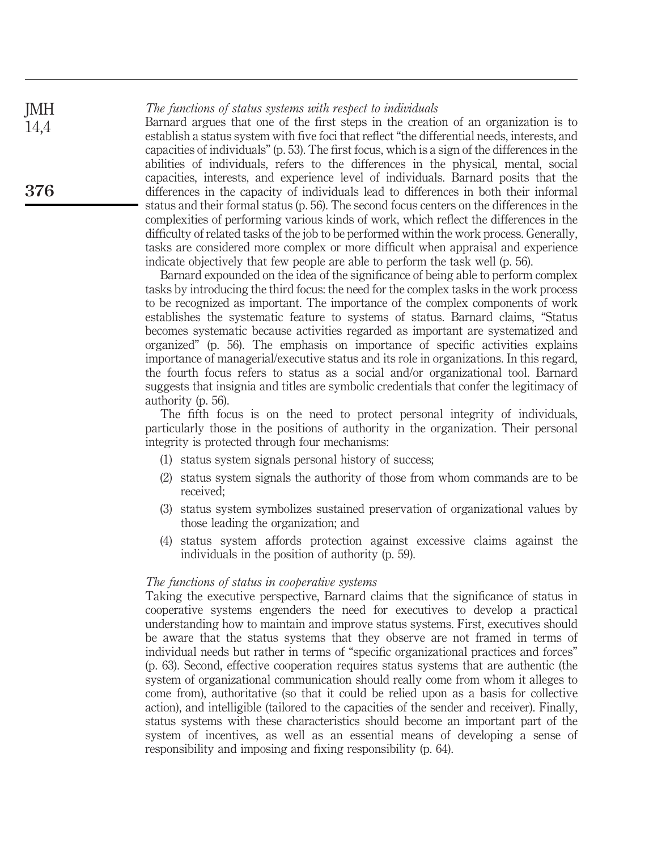The functions of status systems with respect to individuals

Barnard argues that one of the first steps in the creation of an organization is to establish a status system with five foci that reflect "the differential needs, interests, and capacities of individuals" (p. 53). The first focus, which is a sign of the differences in the abilities of individuals, refers to the differences in the physical, mental, social capacities, interests, and experience level of individuals. Barnard posits that the differences in the capacity of individuals lead to differences in both their informal status and their formal status (p. 56). The second focus centers on the differences in the complexities of performing various kinds of work, which reflect the differences in the difficulty of related tasks of the job to be performed within the work process. Generally, tasks are considered more complex or more difficult when appraisal and experience indicate objectively that few people are able to perform the task well (p. 56).

Barnard expounded on the idea of the significance of being able to perform complex tasks by introducing the third focus: the need for the complex tasks in the work process to be recognized as important. The importance of the complex components of work establishes the systematic feature to systems of status. Barnard claims, "Status becomes systematic because activities regarded as important are systematized and organized" (p. 56). The emphasis on importance of specific activities explains importance of managerial/executive status and its role in organizations. In this regard, the fourth focus refers to status as a social and/or organizational tool. Barnard suggests that insignia and titles are symbolic credentials that confer the legitimacy of authority (p. 56).

The fifth focus is on the need to protect personal integrity of individuals, particularly those in the positions of authority in the organization. Their personal integrity is protected through four mechanisms:

- (1) status system signals personal history of success;
- (2) status system signals the authority of those from whom commands are to be received;
- (3) status system symbolizes sustained preservation of organizational values by those leading the organization; and
- (4) status system affords protection against excessive claims against the individuals in the position of authority (p. 59).

#### The functions of status in cooperative systems

Taking the executive perspective, Barnard claims that the significance of status in cooperative systems engenders the need for executives to develop a practical understanding how to maintain and improve status systems. First, executives should be aware that the status systems that they observe are not framed in terms of individual needs but rather in terms of "specific organizational practices and forces" (p. 63). Second, effective cooperation requires status systems that are authentic (the system of organizational communication should really come from whom it alleges to come from), authoritative (so that it could be relied upon as a basis for collective action), and intelligible (tailored to the capacities of the sender and receiver). Finally, status systems with these characteristics should become an important part of the system of incentives, as well as an essential means of developing a sense of responsibility and imposing and fixing responsibility (p. 64).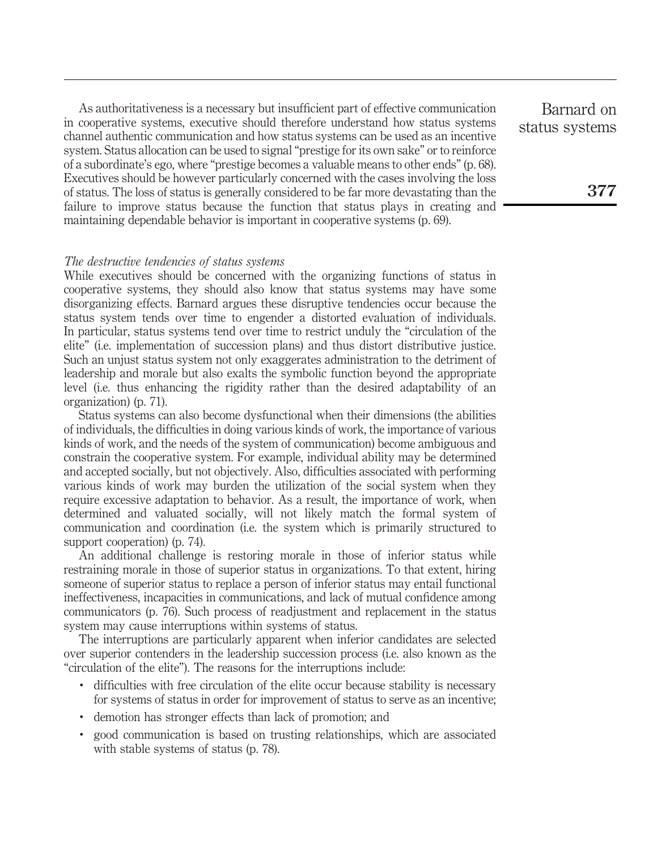As authoritativeness is a necessary but insufficient part of effective communication in cooperative systems, executive should therefore understand how status systems channel authentic communication and how status systems can be used as an incentive system. Status allocation can be used to signal "prestige for its own sake" or to reinforce of a subordinate's ego, where "prestige becomes a valuable means to other ends" (p. 68). Executives should be however particularly concerned with the cases involving the loss of status. The loss of status is generally considered to be far more devastating than the failure to improve status because the function that status plays in creating and maintaining dependable behavior is important in cooperative systems (p. 69).

#### The destructive tendencies of status systems

While executives should be concerned with the organizing functions of status in cooperative systems, they should also know that status systems may have some disorganizing effects. Barnard argues these disruptive tendencies occur because the status system tends over time to engender a distorted evaluation of individuals. In particular, status systems tend over time to restrict unduly the "circulation of the elite" (i.e. implementation of succession plans) and thus distort distributive justice. Such an unjust status system not only exaggerates administration to the detriment of leadership and morale but also exalts the symbolic function beyond the appropriate level (i.e. thus enhancing the rigidity rather than the desired adaptability of an organization) (p. 71).

Status systems can also become dysfunctional when their dimensions (the abilities of individuals, the difficulties in doing various kinds of work, the importance of various kinds of work, and the needs of the system of communication) become ambiguous and constrain the cooperative system. For example, individual ability may be determined and accepted socially, but not objectively. Also, difficulties associated with performing various kinds of work may burden the utilization of the social system when they require excessive adaptation to behavior. As a result, the importance of work, when determined and valuated socially, will not likely match the formal system of communication and coordination (i.e. the system which is primarily structured to support cooperation) (p. 74).

An additional challenge is restoring morale in those of inferior status while restraining morale in those of superior status in organizations. To that extent, hiring someone of superior status to replace a person of inferior status may entail functional ineffectiveness, incapacities in communications, and lack of mutual confidence among communicators (p. 76). Such process of readjustment and replacement in the status system may cause interruptions within systems of status.

The interruptions are particularly apparent when inferior candidates are selected over superior contenders in the leadership succession process (i.e. also known as the "circulation of the elite"). The reasons for the interruptions include:

- . difficulties with free circulation of the elite occur because stability is necessary for systems of status in order for improvement of status to serve as an incentive;
- . demotion has stronger effects than lack of promotion; and
- . good communication is based on trusting relationships, which are associated with stable systems of status (p. 78).

Barnard on status systems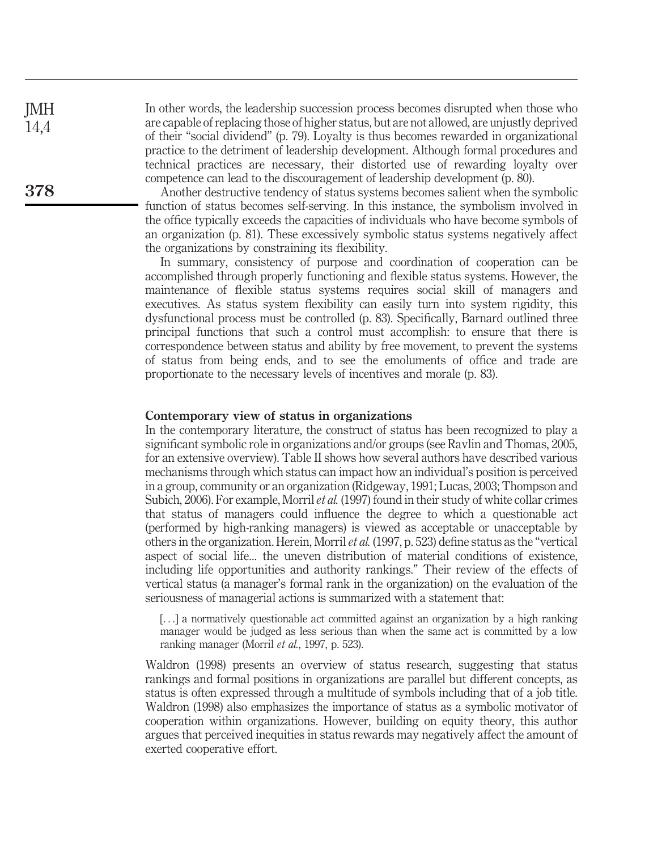In other words, the leadership succession process becomes disrupted when those who are capable of replacing those of higher status, but are not allowed, are unjustly deprived of their "social dividend" (p. 79). Loyalty is thus becomes rewarded in organizational practice to the detriment of leadership development. Although formal procedures and technical practices are necessary, their distorted use of rewarding loyalty over competence can lead to the discouragement of leadership development (p. 80).

Another destructive tendency of status systems becomes salient when the symbolic function of status becomes self-serving. In this instance, the symbolism involved in the office typically exceeds the capacities of individuals who have become symbols of an organization (p. 81). These excessively symbolic status systems negatively affect the organizations by constraining its flexibility.

In summary, consistency of purpose and coordination of cooperation can be accomplished through properly functioning and flexible status systems. However, the maintenance of flexible status systems requires social skill of managers and executives. As status system flexibility can easily turn into system rigidity, this dysfunctional process must be controlled (p. 83). Specifically, Barnard outlined three principal functions that such a control must accomplish: to ensure that there is correspondence between status and ability by free movement, to prevent the systems of status from being ends, and to see the emoluments of office and trade are proportionate to the necessary levels of incentives and morale (p. 83).

# Contemporary view of status in organizations

In the contemporary literature, the construct of status has been recognized to play a significant symbolic role in organizations and/or groups (see Ravlin and Thomas, 2005, for an extensive overview). Table II shows how several authors have described various mechanisms through which status can impact how an individual's position is perceived in a group, community or an organization (Ridgeway, 1991; Lucas, 2003; Thompson and Subich, 2006). For example, Morril *et al.* (1997) found in their study of white collar crimes that status of managers could influence the degree to which a questionable act (performed by high-ranking managers) is viewed as acceptable or unacceptable by others in the organization. Herein, Morril et al. (1997, p. 523) define status as the "vertical aspect of social life... the uneven distribution of material conditions of existence, including life opportunities and authority rankings." Their review of the effects of vertical status (a manager's formal rank in the organization) on the evaluation of the seriousness of managerial actions is summarized with a statement that:

[...] a normatively questionable act committed against an organization by a high ranking manager would be judged as less serious than when the same act is committed by a low ranking manager (Morril et al., 1997, p. 523).

Waldron (1998) presents an overview of status research, suggesting that status rankings and formal positions in organizations are parallel but different concepts, as status is often expressed through a multitude of symbols including that of a job title. Waldron (1998) also emphasizes the importance of status as a symbolic motivator of cooperation within organizations. However, building on equity theory, this author argues that perceived inequities in status rewards may negatively affect the amount of exerted cooperative effort.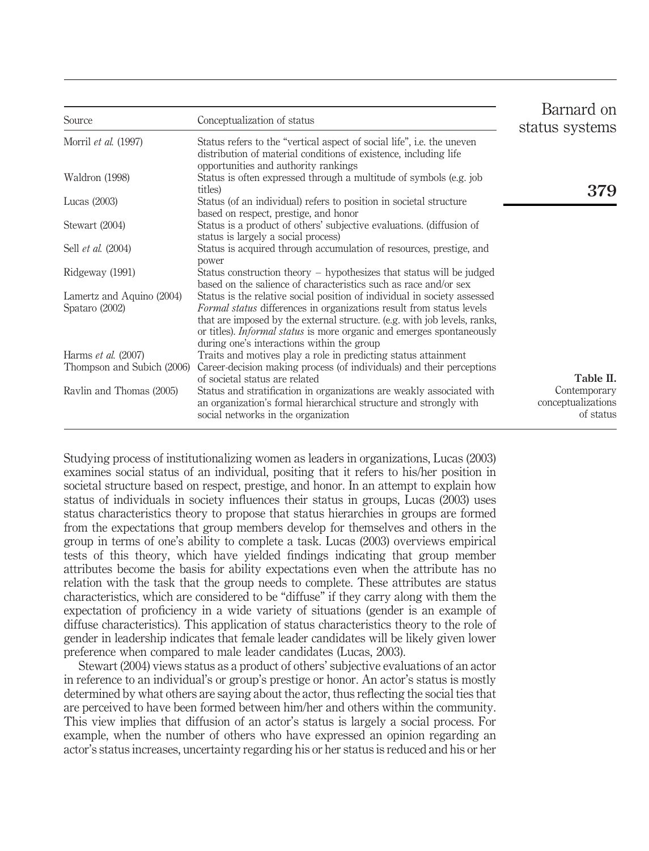| Source                                                   | Conceptualization of status                                                                                                                                                                                                                                                                                                                                        | Barnard on<br>status systems                    |
|----------------------------------------------------------|--------------------------------------------------------------------------------------------------------------------------------------------------------------------------------------------------------------------------------------------------------------------------------------------------------------------------------------------------------------------|-------------------------------------------------|
| Morril et al. (1997)                                     | Status refers to the "vertical aspect of social life", i.e. the uneven<br>distribution of material conditions of existence, including life<br>opportunities and authority rankings                                                                                                                                                                                 |                                                 |
| Waldron (1998)                                           | Status is often expressed through a multitude of symbols (e.g. job<br>titles)                                                                                                                                                                                                                                                                                      | 379                                             |
| Lucas $(2003)$                                           | Status (of an individual) refers to position in societal structure<br>based on respect, prestige, and honor                                                                                                                                                                                                                                                        |                                                 |
| Stewart (2004)                                           | Status is a product of others' subjective evaluations. (diffusion of<br>status is largely a social process)                                                                                                                                                                                                                                                        |                                                 |
| Sell <i>et al.</i> (2004)                                | Status is acquired through accumulation of resources, prestige, and<br>power                                                                                                                                                                                                                                                                                       |                                                 |
| Ridgeway (1991)                                          | Status construction theory – hypothesizes that status will be judged<br>based on the salience of characteristics such as race and/or sex                                                                                                                                                                                                                           |                                                 |
| Lamertz and Aquino (2004)<br>Spataro (2002)              | Status is the relative social position of individual in society assessed<br><i>Formal status</i> differences in organizations result from status levels<br>that are imposed by the external structure. (e.g. with job levels, ranks,<br>or titles). <i>Informal status</i> is more organic and emerges spontaneously<br>during one's interactions within the group |                                                 |
| Harms <i>et al.</i> (2007)<br>Thompson and Subich (2006) | Traits and motives play a role in predicting status attainment<br>Career-decision making process (of individuals) and their perceptions                                                                                                                                                                                                                            |                                                 |
|                                                          | of societal status are related                                                                                                                                                                                                                                                                                                                                     | Table II.                                       |
| Ravlin and Thomas (2005)                                 | Status and stratification in organizations are weakly associated with<br>an organization's formal hierarchical structure and strongly with<br>social networks in the organization                                                                                                                                                                                  | Contemporary<br>conceptualizations<br>of status |

Studying process of institutionalizing women as leaders in organizations, Lucas (2003) examines social status of an individual, positing that it refers to his/her position in societal structure based on respect, prestige, and honor. In an attempt to explain how status of individuals in society influences their status in groups, Lucas (2003) uses status characteristics theory to propose that status hierarchies in groups are formed from the expectations that group members develop for themselves and others in the group in terms of one's ability to complete a task. Lucas (2003) overviews empirical tests of this theory, which have yielded findings indicating that group member attributes become the basis for ability expectations even when the attribute has no relation with the task that the group needs to complete. These attributes are status characteristics, which are considered to be "diffuse" if they carry along with them the expectation of proficiency in a wide variety of situations (gender is an example of diffuse characteristics). This application of status characteristics theory to the role of gender in leadership indicates that female leader candidates will be likely given lower preference when compared to male leader candidates (Lucas, 2003).

Stewart (2004) views status as a product of others' subjective evaluations of an actor in reference to an individual's or group's prestige or honor. An actor's status is mostly determined by what others are saying about the actor, thus reflecting the social ties that are perceived to have been formed between him/her and others within the community. This view implies that diffusion of an actor's status is largely a social process. For example, when the number of others who have expressed an opinion regarding an actor's status increases, uncertainty regarding his or her status is reduced and his or her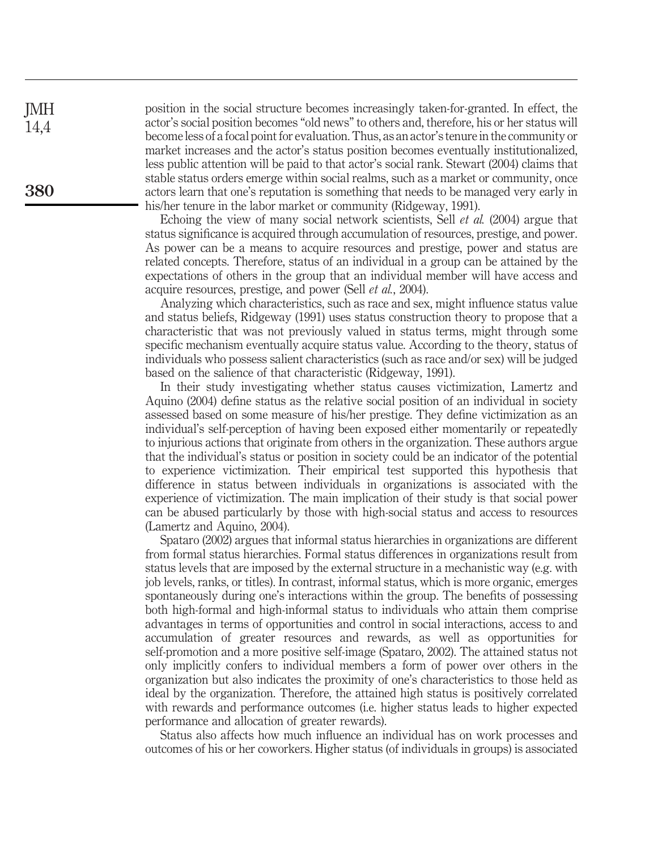position in the social structure becomes increasingly taken-for-granted. In effect, the actor's social position becomes "old news" to others and, therefore, his or her status will become less of a focal point for evaluation. Thus, as an actor's tenure in the community or market increases and the actor's status position becomes eventually institutionalized, less public attention will be paid to that actor's social rank. Stewart (2004) claims that stable status orders emerge within social realms, such as a market or community, once actors learn that one's reputation is something that needs to be managed very early in his/her tenure in the labor market or community (Ridgeway, 1991).

Echoing the view of many social network scientists, Sell *et al.* (2004) argue that status significance is acquired through accumulation of resources, prestige, and power. As power can be a means to acquire resources and prestige, power and status are related concepts. Therefore, status of an individual in a group can be attained by the expectations of others in the group that an individual member will have access and acquire resources, prestige, and power (Sell et al., 2004).

Analyzing which characteristics, such as race and sex, might influence status value and status beliefs, Ridgeway (1991) uses status construction theory to propose that a characteristic that was not previously valued in status terms, might through some specific mechanism eventually acquire status value. According to the theory, status of individuals who possess salient characteristics (such as race and/or sex) will be judged based on the salience of that characteristic (Ridgeway, 1991).

In their study investigating whether status causes victimization, Lamertz and Aquino (2004) define status as the relative social position of an individual in society assessed based on some measure of his/her prestige. They define victimization as an individual's self-perception of having been exposed either momentarily or repeatedly to injurious actions that originate from others in the organization. These authors argue that the individual's status or position in society could be an indicator of the potential to experience victimization. Their empirical test supported this hypothesis that difference in status between individuals in organizations is associated with the experience of victimization. The main implication of their study is that social power can be abused particularly by those with high-social status and access to resources (Lamertz and Aquino, 2004).

Spataro (2002) argues that informal status hierarchies in organizations are different from formal status hierarchies. Formal status differences in organizations result from status levels that are imposed by the external structure in a mechanistic way (e.g. with job levels, ranks, or titles). In contrast, informal status, which is more organic, emerges spontaneously during one's interactions within the group. The benefits of possessing both high-formal and high-informal status to individuals who attain them comprise advantages in terms of opportunities and control in social interactions, access to and accumulation of greater resources and rewards, as well as opportunities for self-promotion and a more positive self-image (Spataro, 2002). The attained status not only implicitly confers to individual members a form of power over others in the organization but also indicates the proximity of one's characteristics to those held as ideal by the organization. Therefore, the attained high status is positively correlated with rewards and performance outcomes (i.e. higher status leads to higher expected performance and allocation of greater rewards).

Status also affects how much influence an individual has on work processes and outcomes of his or her coworkers. Higher status (of individuals in groups) is associated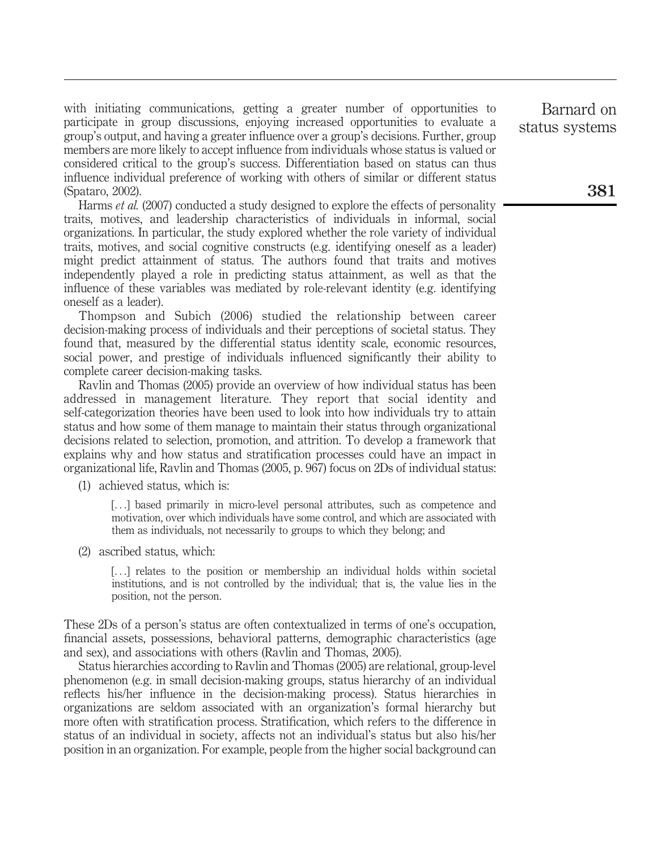with initiating communications, getting a greater number of opportunities to participate in group discussions, enjoying increased opportunities to evaluate a group's output, and having a greater influence over a group's decisions. Further, group members are more likely to accept influence from individuals whose status is valued or considered critical to the group's success. Differentiation based on status can thus influence individual preference of working with others of similar or different status (Spataro, 2002).

Harms et al. (2007) conducted a study designed to explore the effects of personality traits, motives, and leadership characteristics of individuals in informal, social organizations. In particular, the study explored whether the role variety of individual traits, motives, and social cognitive constructs (e.g. identifying oneself as a leader) might predict attainment of status. The authors found that traits and motives independently played a role in predicting status attainment, as well as that the influence of these variables was mediated by role-relevant identity (e.g. identifying oneself as a leader).

Thompson and Subich (2006) studied the relationship between career decision-making process of individuals and their perceptions of societal status. They found that, measured by the differential status identity scale, economic resources, social power, and prestige of individuals influenced significantly their ability to complete career decision-making tasks.

Ravlin and Thomas (2005) provide an overview of how individual status has been addressed in management literature. They report that social identity and self-categorization theories have been used to look into how individuals try to attain status and how some of them manage to maintain their status through organizational decisions related to selection, promotion, and attrition. To develop a framework that explains why and how status and stratification processes could have an impact in organizational life, Ravlin and Thomas (2005, p. 967) focus on 2Ds of individual status:

(1) achieved status, which is:

[...] based primarily in micro-level personal attributes, such as competence and motivation, over which individuals have some control, and which are associated with them as individuals, not necessarily to groups to which they belong; and

(2) ascribed status, which:

[...] relates to the position or membership an individual holds within societal institutions, and is not controlled by the individual; that is, the value lies in the position, not the person.

These 2Ds of a person's status are often contextualized in terms of one's occupation, financial assets, possessions, behavioral patterns, demographic characteristics (age and sex), and associations with others (Ravlin and Thomas, 2005).

Status hierarchies according to Ravlin and Thomas (2005) are relational, group-level phenomenon (e.g. in small decision-making groups, status hierarchy of an individual reflects his/her influence in the decision-making process). Status hierarchies in organizations are seldom associated with an organization's formal hierarchy but more often with stratification process. Stratification, which refers to the difference in status of an individual in society, affects not an individual's status but also his/her position in an organization. For example, people from the higher social background can

Barnard on status systems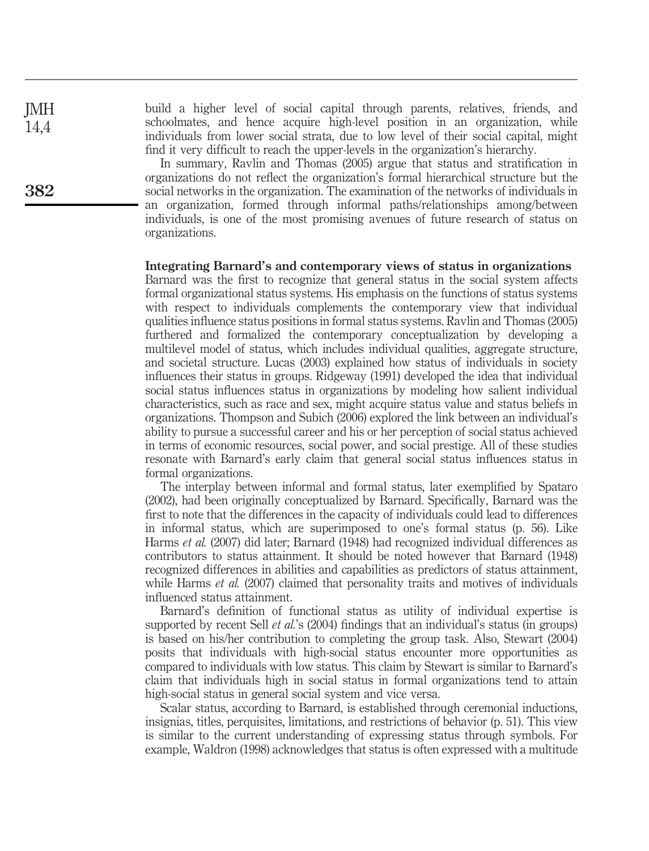build a higher level of social capital through parents, relatives, friends, and schoolmates, and hence acquire high-level position in an organization, while individuals from lower social strata, due to low level of their social capital, might find it very difficult to reach the upper-levels in the organization's hierarchy.

In summary, Ravlin and Thomas (2005) argue that status and stratification in organizations do not reflect the organization's formal hierarchical structure but the social networks in the organization. The examination of the networks of individuals in an organization, formed through informal paths/relationships among/between individuals, is one of the most promising avenues of future research of status on organizations.

#### Integrating Barnard's and contemporary views of status in organizations

Barnard was the first to recognize that general status in the social system affects formal organizational status systems. His emphasis on the functions of status systems with respect to individuals complements the contemporary view that individual qualities influence status positions in formal status systems. Ravlin and Thomas (2005) furthered and formalized the contemporary conceptualization by developing a multilevel model of status, which includes individual qualities, aggregate structure, and societal structure. Lucas (2003) explained how status of individuals in society influences their status in groups. Ridgeway (1991) developed the idea that individual social status influences status in organizations by modeling how salient individual characteristics, such as race and sex, might acquire status value and status beliefs in organizations. Thompson and Subich (2006) explored the link between an individual's ability to pursue a successful career and his or her perception of social status achieved in terms of economic resources, social power, and social prestige. All of these studies resonate with Barnard's early claim that general social status influences status in formal organizations.

The interplay between informal and formal status, later exemplified by Spataro (2002), had been originally conceptualized by Barnard. Specifically, Barnard was the first to note that the differences in the capacity of individuals could lead to differences in informal status, which are superimposed to one's formal status (p. 56). Like Harms et al. (2007) did later; Barnard (1948) had recognized individual differences as contributors to status attainment. It should be noted however that Barnard (1948) recognized differences in abilities and capabilities as predictors of status attainment, while Harms et al. (2007) claimed that personality traits and motives of individuals influenced status attainment.

Barnard's definition of functional status as utility of individual expertise is supported by recent Sell *et al.*'s (2004) findings that an individual's status (in groups) is based on his/her contribution to completing the group task. Also, Stewart (2004) posits that individuals with high-social status encounter more opportunities as compared to individuals with low status. This claim by Stewart is similar to Barnard's claim that individuals high in social status in formal organizations tend to attain high-social status in general social system and vice versa.

Scalar status, according to Barnard, is established through ceremonial inductions, insignias, titles, perquisites, limitations, and restrictions of behavior (p. 51). This view is similar to the current understanding of expressing status through symbols. For example, Waldron (1998) acknowledges that status is often expressed with a multitude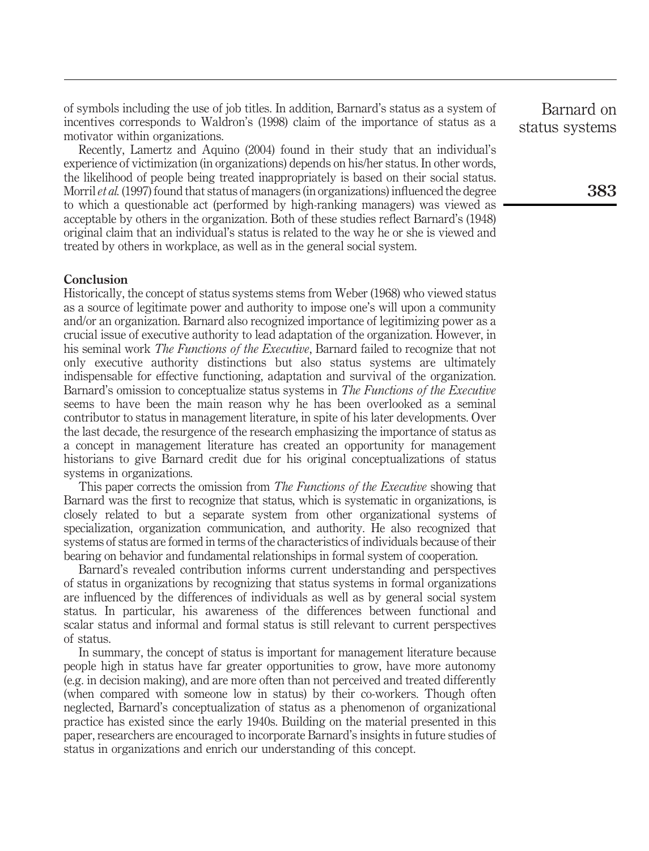of symbols including the use of job titles. In addition, Barnard's status as a system of incentives corresponds to Waldron's (1998) claim of the importance of status as a motivator within organizations.

Recently, Lamertz and Aquino (2004) found in their study that an individual's experience of victimization (in organizations) depends on his/her status. In other words, the likelihood of people being treated inappropriately is based on their social status. Morril et al. (1997) found that status of managers (in organizations) influenced the degree to which a questionable act (performed by high-ranking managers) was viewed as acceptable by others in the organization. Both of these studies reflect Barnard's (1948) original claim that an individual's status is related to the way he or she is viewed and treated by others in workplace, as well as in the general social system.

# **Conclusion**

Historically, the concept of status systems stems from Weber (1968) who viewed status as a source of legitimate power and authority to impose one's will upon a community and/or an organization. Barnard also recognized importance of legitimizing power as a crucial issue of executive authority to lead adaptation of the organization. However, in his seminal work *The Functions of the Executive*, Barnard failed to recognize that not only executive authority distinctions but also status systems are ultimately indispensable for effective functioning, adaptation and survival of the organization. Barnard's omission to conceptualize status systems in The Functions of the Executive seems to have been the main reason why he has been overlooked as a seminal contributor to status in management literature, in spite of his later developments. Over the last decade, the resurgence of the research emphasizing the importance of status as a concept in management literature has created an opportunity for management historians to give Barnard credit due for his original conceptualizations of status systems in organizations.

This paper corrects the omission from *The Functions of the Executive* showing that Barnard was the first to recognize that status, which is systematic in organizations, is closely related to but a separate system from other organizational systems of specialization, organization communication, and authority. He also recognized that systems of status are formed in terms of the characteristics of individuals because of their bearing on behavior and fundamental relationships in formal system of cooperation.

Barnard's revealed contribution informs current understanding and perspectives of status in organizations by recognizing that status systems in formal organizations are influenced by the differences of individuals as well as by general social system status. In particular, his awareness of the differences between functional and scalar status and informal and formal status is still relevant to current perspectives of status.

In summary, the concept of status is important for management literature because people high in status have far greater opportunities to grow, have more autonomy (e.g. in decision making), and are more often than not perceived and treated differently (when compared with someone low in status) by their co-workers. Though often neglected, Barnard's conceptualization of status as a phenomenon of organizational practice has existed since the early 1940s. Building on the material presented in this paper, researchers are encouraged to incorporate Barnard's insights in future studies of status in organizations and enrich our understanding of this concept.

Barnard on status systems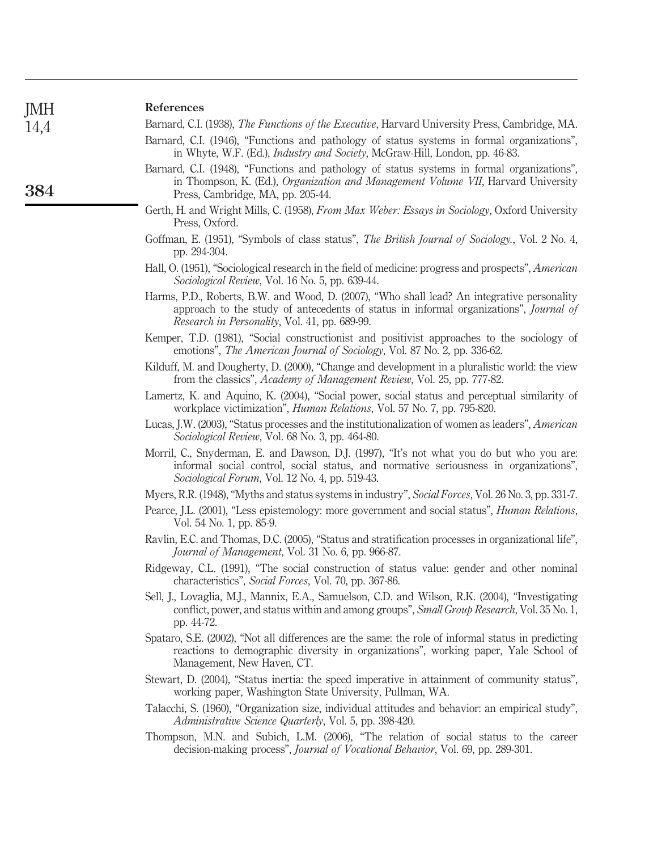| JMH  | <b>References</b>                                                                                                                                                                                                                     |
|------|---------------------------------------------------------------------------------------------------------------------------------------------------------------------------------------------------------------------------------------|
| 14,4 | Barnard, C.I. (1938), The Functions of the Executive, Harvard University Press, Cambridge, MA.                                                                                                                                        |
|      | Barnard, C.I. (1946), "Functions and pathology of status systems in formal organizations",<br>in Whyte, W.F. (Ed.), Industry and Society, McGraw-Hill, London, pp. 46-83.                                                             |
| 384  | Barnard, C.I. (1948), "Functions and pathology of status systems in formal organizations",<br>in Thompson, K. (Ed.), Organization and Management Volume VII, Harvard University<br>Press, Cambridge, MA, pp. 205-44.                  |
|      | Gerth, H. and Wright Mills, C. (1958), From Max Weber: Essays in Sociology, Oxford University<br>Press, Oxford.                                                                                                                       |
|      | Goffman, E. (1951), "Symbols of class status", The British Journal of Sociology., Vol. 2 No. 4,<br>pp. 294-304.                                                                                                                       |
|      | Hall, O. (1951), "Sociological research in the field of medicine: progress and prospects", American<br>Sociological Review, Vol. 16 No. 5, pp. 639-44.                                                                                |
|      | Harms, P.D., Roberts, B.W. and Wood, D. (2007), "Who shall lead? An integrative personality<br>approach to the study of antecedents of status in informal organizations", Journal of<br>Research in Personality, Vol. 41, pp. 689-99. |
|      | Kemper, T.D. (1981), "Social constructionist and positivist approaches to the sociology of<br>emotions", The American Journal of Sociology, Vol. 87 No. 2, pp. 336-62.                                                                |
|      | Kilduff, M. and Dougherty, D. (2000), "Change and development in a pluralistic world: the view<br>from the classics", <i>Academy of Management Review</i> , Vol. 25, pp. 777-82.                                                      |
|      | Lamertz, K. and Aquino, K. (2004), "Social power, social status and perceptual similarity of<br>workplace victimization", <i>Human Relations</i> , Vol. 57 No. 7, pp. 795-820.                                                        |
|      | Lucas, J.W. (2003), "Status processes and the institutionalization of women as leaders", <i>American</i><br>Sociological Review, Vol. 68 No. 3, pp. 464-80.                                                                           |
|      | Morril, C., Snyderman, E. and Dawson, D.J. (1997), "It's not what you do but who you are:<br>informal social control, social status, and normative seriousness in organizations",<br>Sociological Forum, Vol. 12 No. 4, pp. 519-43.   |
|      | Myers, R.R. (1948), "Myths and status systems in industry", Social Forces, Vol. 26 No. 3, pp. 331-7.                                                                                                                                  |
|      | Pearce, J.L. (2001), "Less epistemology: more government and social status", <i>Human Relations</i> ,<br>Vol. 54 No. 1, pp. 85-9.                                                                                                     |
|      | Ravlin, E.C. and Thomas, D.C. (2005), "Status and stratification processes in organizational life",<br>Journal of Management, Vol. 31 No. 6, pp. 966-87.                                                                              |
|      | Ridgeway, C.L. (1991), "The social construction of status value: gender and other nominal<br>characteristics", Social Forces, Vol. 70, pp. 367-86.                                                                                    |
|      | Sell, J., Lovaglia, M.J., Mannix, E.A., Samuelson, C.D. and Wilson, R.K. (2004), "Investigating<br>conflict, power, and status within and among groups", Small Group Research, Vol. 35 No. 1,<br>pp. 44-72.                           |
|      | Spataro, S.E. (2002), "Not all differences are the same: the role of informal status in predicting<br>reactions to demographic diversity in organizations", working paper, Yale School of<br>Management, New Haven, CT.               |
|      | Stewart, D. (2004), "Status inertia: the speed imperative in attainment of community status",<br>working paper, Washington State University, Pullman, WA.                                                                             |
|      | Talacchi, S. (1960), "Organization size, individual attitudes and behavior: an empirical study",<br>Administrative Science Quarterly, Vol. 5, pp. 398-420.                                                                            |
|      | Thompson, M.N. and Subich, L.M. (2006), "The relation of social status to the career<br>decision-making process", Journal of Vocational Behavior, Vol. 69, pp. 289-301.                                                               |
|      |                                                                                                                                                                                                                                       |